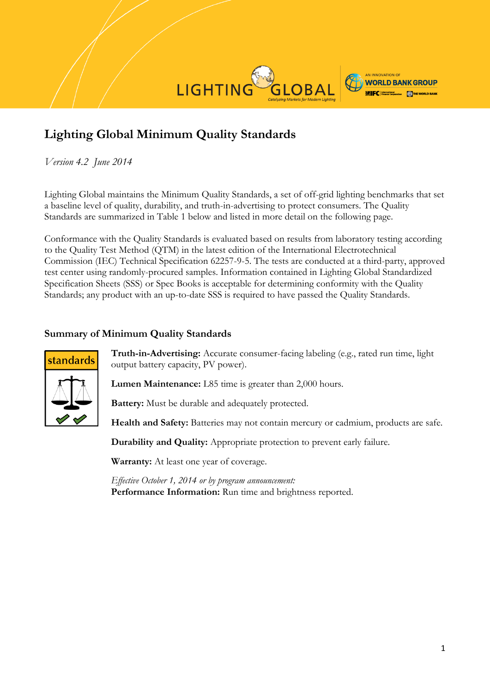

# **Lighting Global Minimum Quality Standards**

*Version 4.2 June 2014*

Lighting Global maintains the Minimum Quality Standards, a set of off-grid lighting benchmarks that set a baseline level of quality, durability, and truth-in-advertising to protect consumers. The Quality Standards are summarized in Table 1 below and listed in more detail on the following page.

Conformance with the Quality Standards is evaluated based on results from laboratory testing according to the Quality Test Method (QTM) in the latest edition of the International Electrotechnical Commission (IEC) Technical Specification 62257-9-5. The tests are conducted at a third-party, approved test center using randomly-procured samples. Information contained in Lighting Global Standardized Specification Sheets (SSS) or Spec Books is acceptable for determining conformity with the Quality Standards; any product with an up-to-date SSS is required to have passed the Quality Standards.

## **Summary of Minimum Quality Standards**



**Truth-in-Advertising:** Accurate consumer-facing labeling (e.g., rated run time, light output battery capacity, PV power).

**Lumen Maintenance:** L85 time is greater than 2,000 hours.

**Battery:** Must be durable and adequately protected.

**Health and Safety:** Batteries may not contain mercury or cadmium, products are safe.

**Durability and Quality:** Appropriate protection to prevent early failure.

**Warranty:** At least one year of coverage.

*Effective October 1, 2014 or by program announcement:* **Performance Information:** Run time and brightness reported.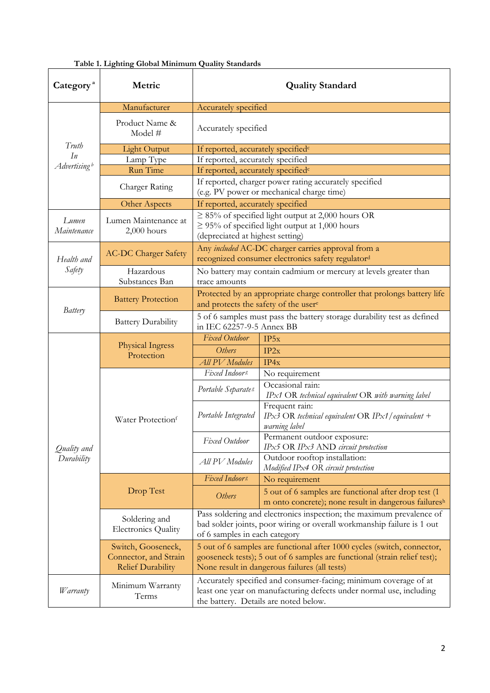| Category <sup>a</sup>          | Metric                                                                  | <b>Quality Standard</b>                                                                                                                                                                               |                                                                                                               |  |
|--------------------------------|-------------------------------------------------------------------------|-------------------------------------------------------------------------------------------------------------------------------------------------------------------------------------------------------|---------------------------------------------------------------------------------------------------------------|--|
|                                | Manufacturer                                                            | Accurately specified                                                                                                                                                                                  |                                                                                                               |  |
|                                | Product Name &<br>Model #                                               | Accurately specified                                                                                                                                                                                  |                                                                                                               |  |
| Truth                          | <b>Light Output</b>                                                     | If reported, accurately specified <sup>c</sup>                                                                                                                                                        |                                                                                                               |  |
| In<br>Advertising <sup>b</sup> | Lamp Type                                                               | If reported, accurately specified                                                                                                                                                                     |                                                                                                               |  |
|                                | Run Time                                                                | If reported, accurately specified <sup>c</sup>                                                                                                                                                        |                                                                                                               |  |
|                                | Charger Rating                                                          | If reported, charger power rating accurately specified<br>(e.g. PV power or mechanical charge time)                                                                                                   |                                                                                                               |  |
|                                | Other Aspects                                                           | If reported, accurately specified                                                                                                                                                                     |                                                                                                               |  |
| Lumen<br>Maintenance           | Lumen Maintenance at<br>$2,000$ hours                                   | $\geq$ 85% of specified light output at 2,000 hours OR<br>$\geq$ 95% of specified light output at 1,000 hours<br>(depreciated at highest setting)                                                     |                                                                                                               |  |
| Health and<br>Safety           | <b>AC-DC Charger Safety</b>                                             | Any included AC-DC charger carries approval from a<br>recognized consumer electronics safety regulator <sup>d</sup>                                                                                   |                                                                                                               |  |
|                                | Hazardous<br>Substances Ban                                             | No battery may contain cadmium or mercury at levels greater than<br>trace amounts                                                                                                                     |                                                                                                               |  |
| Battery                        | <b>Battery Protection</b>                                               | Protected by an appropriate charge controller that prolongs battery life<br>and protects the safety of the usere                                                                                      |                                                                                                               |  |
|                                | <b>Battery Durability</b>                                               | 5 of 6 samples must pass the battery storage durability test as defined<br>in IEC 62257-9-5 Annex BB                                                                                                  |                                                                                                               |  |
|                                | Physical Ingress<br>Protection                                          | <b>Fixed Outdoor</b>                                                                                                                                                                                  | IP5x                                                                                                          |  |
|                                |                                                                         | Others                                                                                                                                                                                                | IP2x                                                                                                          |  |
|                                |                                                                         | <b>All PV</b> Modules                                                                                                                                                                                 | IP4x                                                                                                          |  |
|                                | Water Protectionf                                                       | Fixed Indoors                                                                                                                                                                                         | No requirement                                                                                                |  |
| Quality and<br>Durability      |                                                                         | Portable Separates                                                                                                                                                                                    | Occasional rain:<br>IPx1 OR technical equivalent OR with warning label                                        |  |
|                                |                                                                         | Portable Integrated                                                                                                                                                                                   | Frequent rain:<br>IPx3 OR technical equivalent OR IPx1/equivalent +<br>warning label                          |  |
|                                |                                                                         | Fixed Outdoor                                                                                                                                                                                         | Permanent outdoor exposure:<br>IPx5 OR IPx3 AND circuit protection                                            |  |
|                                |                                                                         | All PV Modules                                                                                                                                                                                        | Outdoor rooftop installation:<br>Modified IPx4 OR circuit protection                                          |  |
|                                |                                                                         | Fixed Indoors                                                                                                                                                                                         | No requirement                                                                                                |  |
|                                | Drop Test                                                               | Others                                                                                                                                                                                                | 5 out of 6 samples are functional after drop test (1)<br>m onto concrete); none result in dangerous failuresh |  |
|                                | Soldering and<br><b>Electronics Quality</b>                             | Pass soldering and electronics inspection; the maximum prevalence of<br>bad solder joints, poor wiring or overall workmanship failure is 1 out<br>of 6 samples in each category                       |                                                                                                               |  |
|                                | Switch, Gooseneck,<br>Connector, and Strain<br><b>Relief Durability</b> | 5 out of 6 samples are functional after 1000 cycles (switch, connector,<br>gooseneck tests); 5 out of 6 samples are functional (strain relief test);<br>None result in dangerous failures (all tests) |                                                                                                               |  |
| Warranty                       | Minimum Warranty<br>Terms                                               | Accurately specified and consumer-facing; minimum coverage of at<br>least one year on manufacturing defects under normal use, including<br>the battery. Details are noted below.                      |                                                                                                               |  |

#### **Table 1. Lighting Global Minimum Quality Standards**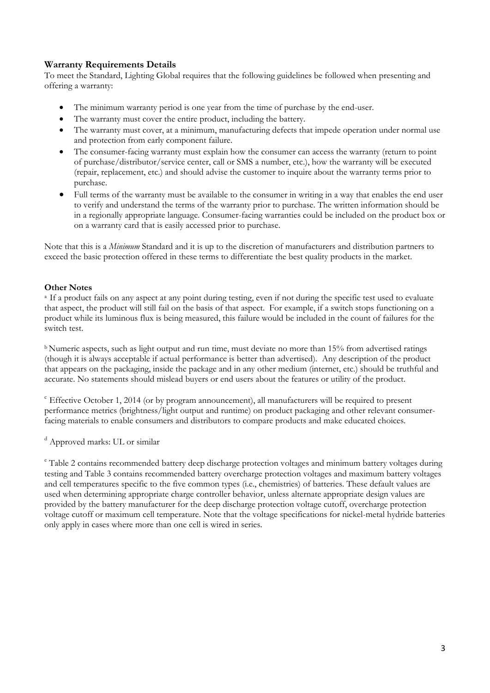### **Warranty Requirements Details**

To meet the Standard, Lighting Global requires that the following guidelines be followed when presenting and offering a warranty:

- The minimum warranty period is one year from the time of purchase by the end-user.
- The warranty must cover the entire product, including the battery.
- The warranty must cover, at a minimum, manufacturing defects that impede operation under normal use and protection from early component failure.
- The consumer-facing warranty must explain how the consumer can access the warranty (return to point of purchase/distributor/service center, call or SMS a number, etc.), how the warranty will be executed (repair, replacement, etc.) and should advise the customer to inquire about the warranty terms prior to purchase.
- Full terms of the warranty must be available to the consumer in writing in a way that enables the end user to verify and understand the terms of the warranty prior to purchase. The written information should be in a regionally appropriate language. Consumer-facing warranties could be included on the product box or on a warranty card that is easily accessed prior to purchase.

Note that this is a *Minimum* Standard and it is up to the discretion of manufacturers and distribution partners to exceed the basic protection offered in these terms to differentiate the best quality products in the market.

#### **Other Notes**

<sup>a</sup> If a product fails on any aspect at any point during testing, even if not during the specific test used to evaluate that aspect, the product will still fail on the basis of that aspect. For example, if a switch stops functioning on a product while its luminous flux is being measured, this failure would be included in the count of failures for the switch test.

<sup>b</sup> Numeric aspects, such as light output and run time, must deviate no more than 15% from advertised ratings (though it is always acceptable if actual performance is better than advertised). Any description of the product that appears on the packaging, inside the package and in any other medium (internet, etc.) should be truthful and accurate. No statements should mislead buyers or end users about the features or utility of the product.

<sup>c</sup> Effective October 1, 2014 (or by program announcement), all manufacturers will be required to present performance metrics (brightness/light output and runtime) on product packaging and other relevant consumerfacing materials to enable consumers and distributors to compare products and make educated choices.

<sup>d</sup> Approved marks: UL or similar

<sup>e</sup> Table 2 contains recommended battery deep discharge protection voltages and minimum battery voltages during testing and Table 3 contains recommended battery overcharge protection voltages and maximum battery voltages and cell temperatures specific to the five common types (i.e., chemistries) of batteries. These default values are used when determining appropriate charge controller behavior, unless alternate appropriate design values are provided by the battery manufacturer for the deep discharge protection voltage cutoff, overcharge protection voltage cutoff or maximum cell temperature. Note that the voltage specifications for nickel-metal hydride batteries only apply in cases where more than one cell is wired in series.